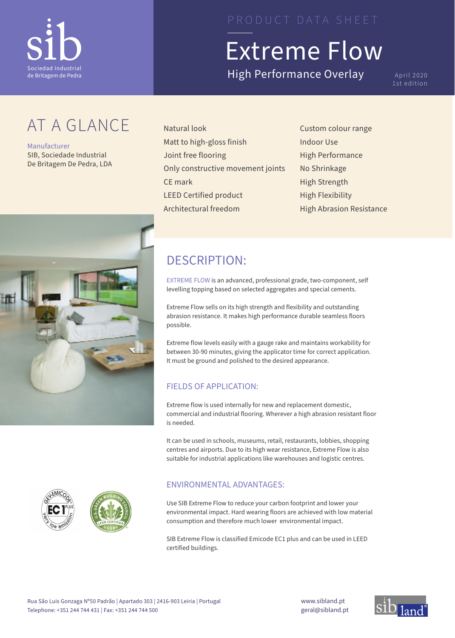

## AT A GLANCE

Manufacturer SIB, Sociedade Industrial De Britagem De Pedra, LDA



# Extreme Flow

High Performance Overlay April 2020

1st edition

- Natural look Matt to high-gloss finish Joint free flooring Only constructive movement joints CE mark LEED Certified product Architectural freedom
- Custom colour range Indoor Use High Performance No Shrinkage High Strength High Flexibility High Abrasion Resistance

## DESCRIPTION:

EXTREME FLOW is an advanced, professional grade, two-component, self levelling topping based on selected aggregates and special cements.

Extreme Flow sells on its high strength and flexibility and outstanding abrasion resistance. It makes high performance durable seamless floors possible.

Extreme flow levels easily with a gauge rake and maintains workability for between 30-90 minutes, giving the applicator time for correct application. It must be ground and polished to the desired appearance.

### FIELDS OF APPLICATION:

Extreme flow is used internally for new and replacement domestic, commercial and industrial flooring. Wherever a high abrasion resistant floor is needed.

It can be used in schools, museums, retail, restaurants, lobbies, shopping centres and airports. Due to its high wear resistance, Extreme Flow is also suitable for industrial applications like warehouses and logistic centres.

### ENVIRONMENTAL ADVANTAGES:

Use SIB Extreme Flow to reduce your carbon footprint and lower your environmental impact. Hard wearing floors are achieved with low material consumption and therefore much lower environmental impact.

SIB Extreme Flow is classified Emicode EC1 plus and can be used in LEED certified buildings.





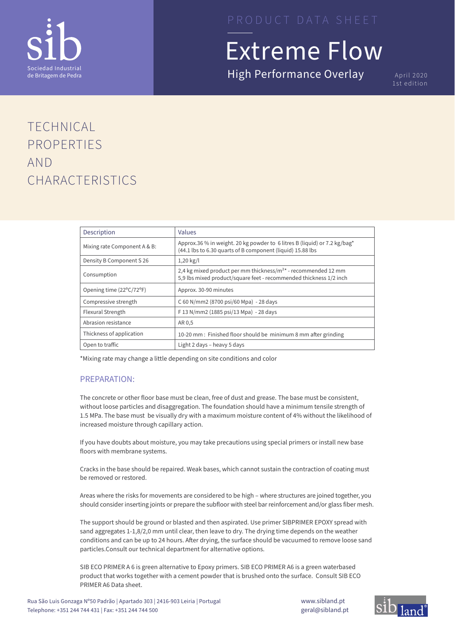

High Performance Overlay April 2020

1st edition

## TECHNICAL PROPERTIES AND CHARACTERISTICS

| Description                  | Values                                                                                                                                    |
|------------------------------|-------------------------------------------------------------------------------------------------------------------------------------------|
| Mixing rate Component A & B: | Approx.36 % in weight. 20 kg powder to 6 litres B (liquid) or 7.2 kg/bag*<br>(44.1 lbs to 6.30 quarts of B component (liquid) 15.88 lbs   |
| Density B Component S 26     | $1,20 \text{ kg}/l$                                                                                                                       |
| Consumption                  | 2,4 kg mixed product per mm thickness/ $m^{2*}$ - recommended 12 mm<br>5,9 lbs mixed product/square feet - recommended thickness 1/2 inch |
| Opening time (22°C/72°F)     | Approx. 30-90 minutes                                                                                                                     |
| Compressive strength         | C 60 N/mm2 (8700 psi/60 Mpa) - 28 days                                                                                                    |
| Flexural Strength            | F 13 N/mm2 (1885 psi/13 Mpa) - 28 days                                                                                                    |
| Abrasion resistance          | AR 0,5                                                                                                                                    |
| Thickness of application     | 10-20 mm : Finished floor should be minimum 8 mm after grinding                                                                           |
| Open to traffic              | Light 2 days – heavy 5 days                                                                                                               |

\*Mixing rate may change a little depending on site conditions and color

### PREPARATION:

The concrete or other floor base must be clean, free of dust and grease. The base must be consistent, without loose particles and disaggregation. The foundation should have a minimum tensile strength of 1.5 MPa. The base must be visually dry with a maximum moisture content of 4% without the likelihood of increased moisture through capillary action.

If you have doubts about moisture, you may take precautions using special primers or install new base floors with membrane systems.

Cracks in the base should be repaired. Weak bases, which cannot sustain the contraction of coating must be removed or restored.

Areas where the risks for movements are considered to be high – where structures are joined together, you should consider inserting joints or prepare the subfloor with steel bar reinforcement and/or glass fiber mesh.

The support should be ground or blasted and then aspirated. Use primer SIBPRIMER EPOXY spread with sand aggregates 1-1,8/2,0 mm until clear, then leave to dry. The drying time depends on the weather conditions and can be up to 24 hours. After drying, the surface should be vacuumed to remove loose sand particles.Consult our technical department for alternative options.

SIB ECO PRIMER A 6 is green alternative to Epoxy primers. SIB ECO PRIMER A6 is a green waterbased product that works together with a cement powder that is brushed onto the surface. Consult SIB ECO PRIMER A6 Data sheet.

www.sibland.pt geral@sibland.pt

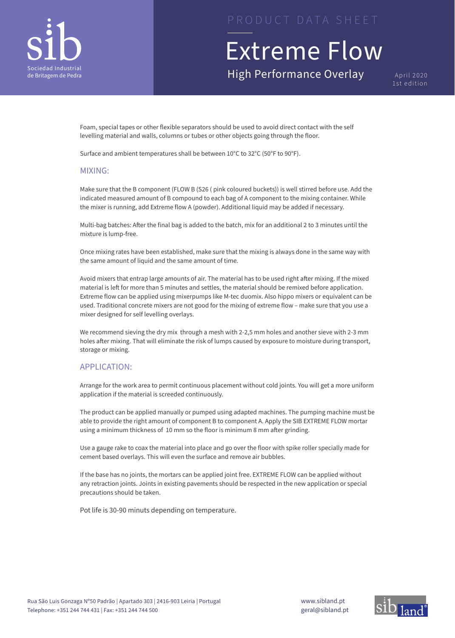

High Performance Overlay April 2020

1st edition

Foam, special tapes or other flexible separators should be used to avoid direct contact with the self levelling material and walls, columns or tubes or other objects going through the floor.

Surface and ambient temperatures shall be between 10°C to 32°C (50°F to 90°F).

### MIXING:

Make sure that the B component (FLOW B (S26 ( pink coloured buckets)) is well stirred before use. Add the indicated measured amount of B compound to each bag of A component to the mixing container. While the mixer is running, add Extreme flow A (powder). Additional liquid may be added if necessary.

Multi-bag batches: After the final bag is added to the batch, mix for an additional 2 to 3 minutes until the mixture is lump-free.

Once mixing rates have been established, make sure that the mixing is always done in the same way with the same amount of liquid and the same amount of time.

Avoid mixers that entrap large amounts of air. The material has to be used right after mixing. If the mixed material is left for more than 5 minutes and settles, the material should be remixed before application. Extreme flow can be applied using mixerpumps like M-tec duomix. Also hippo mixers or equivalent can be used. Traditional concrete mixers are not good for the mixing of extreme flow – make sure that you use a mixer designed for self levelling overlays.

We recommend sieving the dry mix through a mesh with 2-2,5 mm holes and another sieve with 2-3 mm holes after mixing. That will eliminate the risk of lumps caused by exposure to moisture during transport, storage or mixing.

### APPLICATION:

Arrange for the work area to permit continuous placement without cold joints. You will get a more uniform application if the material is screeded continuously.

The product can be applied manually or pumped using adapted machines. The pumping machine must be able to provide the right amount of component B to component A. Apply the SIB EXTREME FLOW mortar using a minimum thickness of 10 mm so the floor is minimum 8 mm after grinding.

Use a gauge rake to coax the material into place and go over the floor with spike roller specially made for cement based overlays. This will even the surface and remove air bubbles.

If the base has no joints, the mortars can be applied joint free. EXTREME FLOW can be applied without any retraction joints. Joints in existing pavements should be respected in the new application or special precautions should be taken.

Pot life is 30-90 minuts depending on temperature.

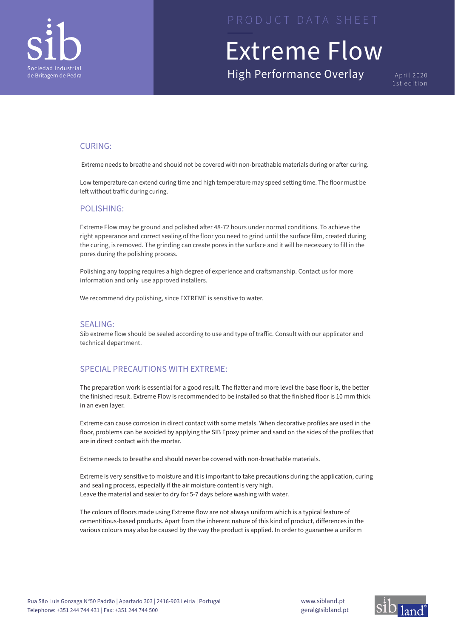

High Performance Overlay April 2020

1st edition

### CURING:

Extreme needs to breathe and should not be covered with non-breathable materials during or after curing.

Low temperature can extend curing time and high temperature may speed setting time. The floor must be left without traffic during curing.

### POLISHING:

Extreme Flow may be ground and polished after 48-72 hours under normal conditions. To achieve the right appearance and correct sealing of the floor you need to grind until the surface film, created during the curing, is removed. The grinding can create pores in the surface and it will be necessary to fill in the pores during the polishing process.

Polishing any topping requires a high degree of experience and craftsmanship. Contact us for more information and only use approved installers.

We recommend dry polishing, since EXTREME is sensitive to water.

### SEALING:

Sib extreme flow should be sealed according to use and type of traffic. Consult with our applicator and technical department.

### SPECIAL PRECAUTIONS WITH EXTREME:

The preparation work is essential for a good result. The flatter and more level the base floor is, the better the finished result. Extreme Flow is recommended to be installed so that the finished floor is 10 mm thick in an even layer.

Extreme can cause corrosion in direct contact with some metals. When decorative profiles are used in the floor, problems can be avoided by applying the SIB Epoxy primer and sand on the sides of the profiles that are in direct contact with the mortar.

Extreme needs to breathe and should never be covered with non-breathable materials.

Extreme is very sensitive to moisture and it is important to take precautions during the application, curing and sealing process, especially if the air moisture content is very high. Leave the material and sealer to dry for 5-7 days before washing with water.

The colours of floors made using Extreme flow are not always uniform which is a typical feature of cementitious-based products. Apart from the inherent nature of this kind of product, differences in the various colours may also be caused by the way the product is applied. In order to guarantee a uniform

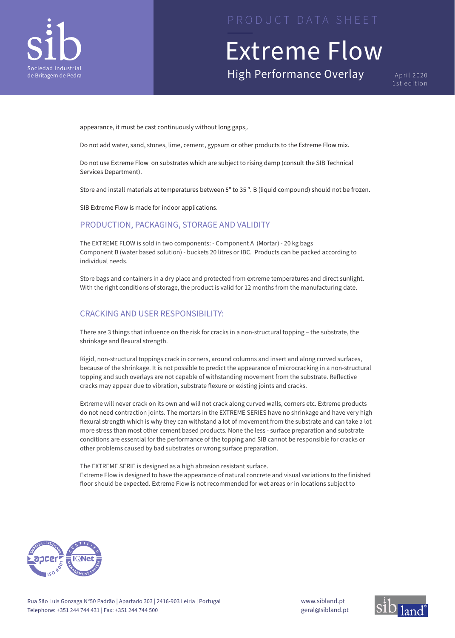

High Performance Overlay April 2020

1st edition

appearance, it must be cast continuously without long gaps,.

Do not add water, sand, stones, lime, cement, gypsum or other products to the Extreme Flow mix.

Do not use Extreme Flow on substrates which are subject to rising damp (consult the SIB Technical Services Department).

Store and install materials at temperatures between 5º to 35 º. B (liquid compound) should not be frozen.

SIB Extreme Flow is made for indoor applications.

### PRODUCTION, PACKAGING, STORAGE AND VALIDITY

The EXTREME FLOW is sold in two components: - Component A (Mortar) - 20 kg bags Component B (water based solution) - buckets 20 litres or IBC. Products can be packed according to individual needs.

Store bags and containers in a dry place and protected from extreme temperatures and direct sunlight. With the right conditions of storage, the product is valid for 12 months from the manufacturing date.

### CRACKING AND USER RESPONSIBILITY:

There are 3 things that influence on the risk for cracks in a non-structural topping – the substrate, the shrinkage and flexural strength.

Rigid, non-structural toppings crack in corners, around columns and insert and along curved surfaces, because of the shrinkage. It is not possible to predict the appearance of microcracking in a non-structural topping and such overlays are not capable of withstanding movement from the substrate. Reflective cracks may appear due to vibration, substrate flexure or existing joints and cracks.

Extreme will never crack on its own and will not crack along curved walls, corners etc. Extreme products do not need contraction joints. The mortars in the EXTREME SERIES have no shrinkage and have very high flexural strength which is why they can withstand a lot of movement from the substrate and can take a lot more stress than most other cement based products. None the less - surface preparation and substrate conditions are essential for the performance of the topping and SIB cannot be responsible for cracks or other problems caused by bad substrates or wrong surface preparation.

The EXTREME SERIE is designed as a high abrasion resistant surface. Extreme Flow is designed to have the appearance of natural concrete and visual variations to the finished floor should be expected. Extreme Flow is not recommended for wet areas or in locations subject to